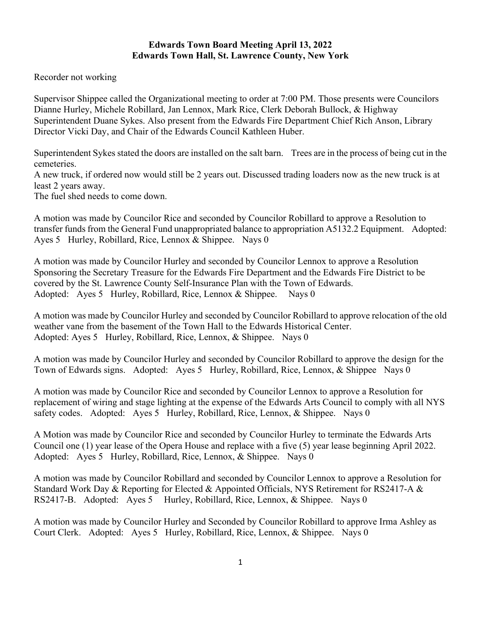## **Edwards Town Board Meeting April 13, 2022 Edwards Town Hall, St. Lawrence County, New York**

Recorder not working

Supervisor Shippee called the Organizational meeting to order at 7:00 PM. Those presents were Councilors Dianne Hurley, Michele Robillard, Jan Lennox, Mark Rice, Clerk Deborah Bullock, & Highway Superintendent Duane Sykes. Also present from the Edwards Fire Department Chief Rich Anson, Library Director Vicki Day, and Chair of the Edwards Council Kathleen Huber.

Superintendent Sykes stated the doors are installed on the salt barn. Trees are in the process of being cut in the cemeteries.

A new truck, if ordered now would still be 2 years out. Discussed trading loaders now as the new truck is at least 2 years away.

The fuel shed needs to come down.

A motion was made by Councilor Rice and seconded by Councilor Robillard to approve a Resolution to transfer funds from the General Fund unappropriated balance to appropriation A5132.2 Equipment. Adopted: Ayes 5 Hurley, Robillard, Rice, Lennox & Shippee. Nays 0

A motion was made by Councilor Hurley and seconded by Councilor Lennox to approve a Resolution Sponsoring the Secretary Treasure for the Edwards Fire Department and the Edwards Fire District to be covered by the St. Lawrence County Self-Insurance Plan with the Town of Edwards. Adopted: Ayes 5 Hurley, Robillard, Rice, Lennox & Shippee. Nays 0

A motion was made by Councilor Hurley and seconded by Councilor Robillard to approve relocation of the old weather vane from the basement of the Town Hall to the Edwards Historical Center. Adopted: Ayes 5 Hurley, Robillard, Rice, Lennox, & Shippee. Nays 0

A motion was made by Councilor Hurley and seconded by Councilor Robillard to approve the design for the Town of Edwards signs. Adopted: Ayes 5 Hurley, Robillard, Rice, Lennox, & Shippee Nays 0

A motion was made by Councilor Rice and seconded by Councilor Lennox to approve a Resolution for replacement of wiring and stage lighting at the expense of the Edwards Arts Council to comply with all NYS safety codes. Adopted: Ayes 5 Hurley, Robillard, Rice, Lennox, & Shippee. Nays 0

A Motion was made by Councilor Rice and seconded by Councilor Hurley to terminate the Edwards Arts Council one (1) year lease of the Opera House and replace with a five (5) year lease beginning April 2022. Adopted: Ayes 5 Hurley, Robillard, Rice, Lennox, & Shippee. Nays 0

A motion was made by Councilor Robillard and seconded by Councilor Lennox to approve a Resolution for Standard Work Day & Reporting for Elected & Appointed Officials, NYS Retirement for RS2417-A & RS2417-B. Adopted: Ayes 5 Hurley, Robillard, Rice, Lennox, & Shippee. Nays 0

A motion was made by Councilor Hurley and Seconded by Councilor Robillard to approve Irma Ashley as Court Clerk. Adopted: Ayes 5 Hurley, Robillard, Rice, Lennox, & Shippee. Nays 0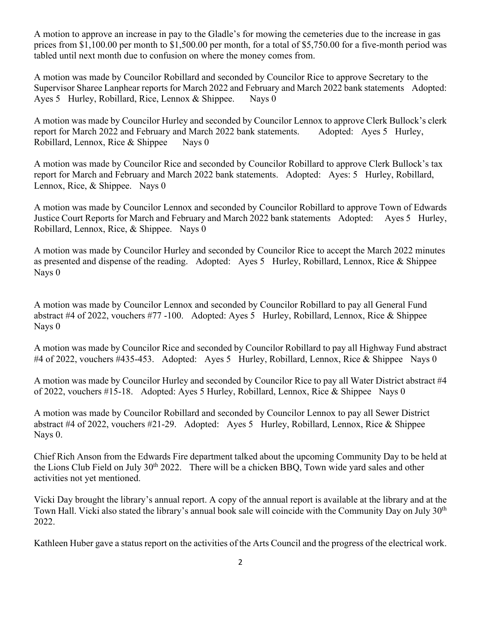A motion to approve an increase in pay to the Gladle's for mowing the cemeteries due to the increase in gas prices from \$1,100.00 per month to \$1,500.00 per month, for a total of \$5,750.00 for a five-month period was tabled until next month due to confusion on where the money comes from.

A motion was made by Councilor Robillard and seconded by Councilor Rice to approve Secretary to the Supervisor Sharee Lanphear reports for March 2022 and February and March 2022 bank statements Adopted: Ayes 5 Hurley, Robillard, Rice, Lennox & Shippee. Nays 0

A motion was made by Councilor Hurley and seconded by Councilor Lennox to approve Clerk Bullock's clerk report for March 2022 and February and March 2022 bank statements. Adopted: Ayes 5 Hurley, Robillard, Lennox, Rice & Shippee Nays 0

A motion was made by Councilor Rice and seconded by Councilor Robillard to approve Clerk Bullock's tax report for March and February and March 2022 bank statements. Adopted: Ayes: 5 Hurley, Robillard, Lennox, Rice, & Shippee. Nays 0

A motion was made by Councilor Lennox and seconded by Councilor Robillard to approve Town of Edwards Justice Court Reports for March and February and March 2022 bank statements Adopted: Ayes 5 Hurley, Robillard, Lennox, Rice, & Shippee. Nays 0

A motion was made by Councilor Hurley and seconded by Councilor Rice to accept the March 2022 minutes as presented and dispense of the reading. Adopted: Ayes 5 Hurley, Robillard, Lennox, Rice & Shippee Nays 0

A motion was made by Councilor Lennox and seconded by Councilor Robillard to pay all General Fund abstract #4 of 2022, vouchers #77 -100. Adopted: Ayes 5 Hurley, Robillard, Lennox, Rice & Shippee Nays 0

A motion was made by Councilor Rice and seconded by Councilor Robillard to pay all Highway Fund abstract #4 of 2022, vouchers #435-453. Adopted: Ayes 5 Hurley, Robillard, Lennox, Rice & Shippee Nays 0

A motion was made by Councilor Hurley and seconded by Councilor Rice to pay all Water District abstract #4 of 2022, vouchers #15-18. Adopted: Ayes 5 Hurley, Robillard, Lennox, Rice & Shippee Nays 0

A motion was made by Councilor Robillard and seconded by Councilor Lennox to pay all Sewer District abstract #4 of 2022, vouchers #21-29. Adopted: Ayes 5 Hurley, Robillard, Lennox, Rice & Shippee Nays 0.

Chief Rich Anson from the Edwards Fire department talked about the upcoming Community Day to be held at the Lions Club Field on July 30<sup>th</sup> 2022. There will be a chicken BBQ, Town wide yard sales and other activities not yet mentioned.

Vicki Day brought the library's annual report. A copy of the annual report is available at the library and at the Town Hall. Vicki also stated the library's annual book sale will coincide with the Community Day on July 30<sup>th</sup> 2022.

Kathleen Huber gave a status report on the activities of the Arts Council and the progress of the electrical work.